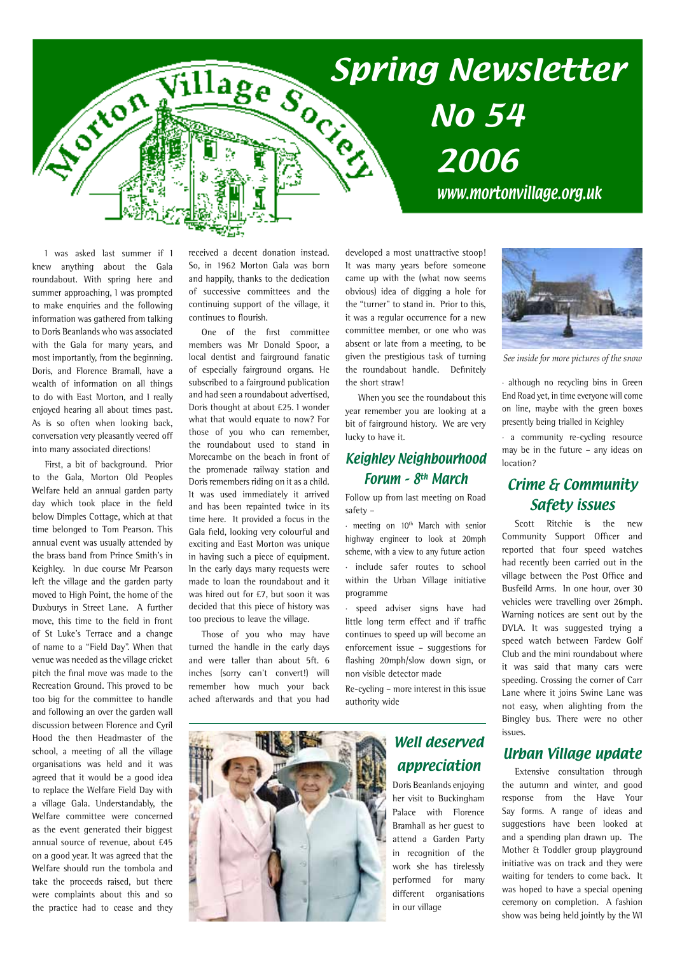

I was asked last summer if I knew anything about the Gala roundabout. With spring here and summer approaching, I was prompted to make enquiries and the following information was gathered from talking to Doris Beanlands who was associated with the Gala for many years, and most importantly, from the beginning. Doris, and Florence Bramall, have a wealth of information on all things to do with East Morton, and I really enjoyed hearing all about times past. As is so often when looking back, conversation very pleasantly veered off into many associated directions!

First, a bit of background. Prior to the Gala, Morton Old Peoples Welfare held an annual garden party day which took place in the field below Dimples Cottage, which at that time belonged to Tom Pearson. This annual event was usually attended by the brass band from Prince Smith's in Keighley. In due course Mr Pearson left the village and the garden party moved to High Point, the home of the Duxburys in Street Lane. A further move, this time to the field in front of St Luke's Terrace and a change of name to a "Field Day". When that venue was needed as the village cricket pitch the final move was made to the Recreation Ground. This proved to be too big for the committee to handle and following an over the garden wall discussion between Florence and Cyril Hood the then Headmaster of the school, a meeting of all the village organisations was held and it was agreed that it would be a good idea to replace the Welfare Field Day with a village Gala. Understandably, the Welfare committee were concerned as the event generated their biggest annual source of revenue, about £45 on a good year. It was agreed that the Welfare should run the tombola and take the proceeds raised, but there were complaints about this and so the practice had to cease and they received a decent donation instead. So, in 1962 Morton Gala was born and happily, thanks to the dedication of successive committees and the continuing support of the village, it continues to flourish.

One of the first committee members was Mr Donald Spoor, a local dentist and fairground fanatic of especially fairground organs. He subscribed to a fairground publication and had seen a roundabout advertised, Doris thought at about £25. I wonder what that would equate to now? For those of you who can remember, the roundabout used to stand in Morecambe on the beach in front of the promenade railway station and Doris remembers riding on it as a child. It was used immediately it arrived and has been repainted twice in its time here. It provided a focus in the Gala field, looking very colourful and exciting and East Morton was unique in having such a piece of equipment. In the early days many requests were made to loan the roundabout and it was hired out for £7, but soon it was decided that this piece of history was too precious to leave the village.

Those of you who may have turned the handle in the early days and were taller than about 5ft. 6 inches (sorry can't convert!) will remember how much your back ached afterwards and that you had developed a most unattractive stoop! It was many years before someone came up with the (what now seems obvious) idea of digging a hole for the "turner" to stand in. Prior to this, it was a regular occurrence for a new committee member, or one who was absent or late from a meeting, to be given the prestigious task of turning the roundabout handle. Definitely the short straw!

When you see the roundabout this year remember you are looking at a bit of fairground history. We are very lucky to have it.

### Keighley Neighbourhood Forum – 8th March

Follow up from last meeting on Road safety –

· meeting on 10th March with senior highway engineer to look at 20mph scheme, with a view to any future action include safer routes to school within the Urban Village initiative programme

· speed adviser signs have had little long term effect and if traffic continues to speed up will become an enforcement issue – suggestions for flashing 20mph/slow down sign, or non visible detector made

Re-cycling – more interest in this issue authority wide



## Well deserved appreciation

Doris Beanlands enjoying her visit to Buckingham Palace with Florence Bramhall as her guest to attend a Garden Party in recognition of the work she has tirelessly performed for many different organisations in our village



*See inside for more pictures of the snow*

· although no recycling bins in Green End Road yet, in time everyone will come on line, maybe with the green boxes presently being trialled in Keighley

· a community re-cycling resource may be in the future – any ideas on location?

### Crime & Community Safety issues

Scott Ritchie is the new Community Support Officer and reported that four speed watches had recently been carried out in the village between the Post Office and Busfeild Arms. In one hour, over 30 vehicles were travelling over 26mph. Warning notices are sent out by the DVLA. It was suggested trying a speed watch between Fardew Golf Club and the mini roundabout where it was said that many cars were speeding. Crossing the corner of Carr Lane where it joins Swine Lane was not easy, when alighting from the Bingley bus. There were no other issues.

### Urban Village update

Extensive consultation through the autumn and winter, and good response from the Have Your Say forms. A range of ideas and suggestions have been looked at and a spending plan drawn up. The Mother & Toddler group playground initiative was on track and they were waiting for tenders to come back. It was hoped to have a special opening ceremony on completion. A fashion show was being held jointly by the WI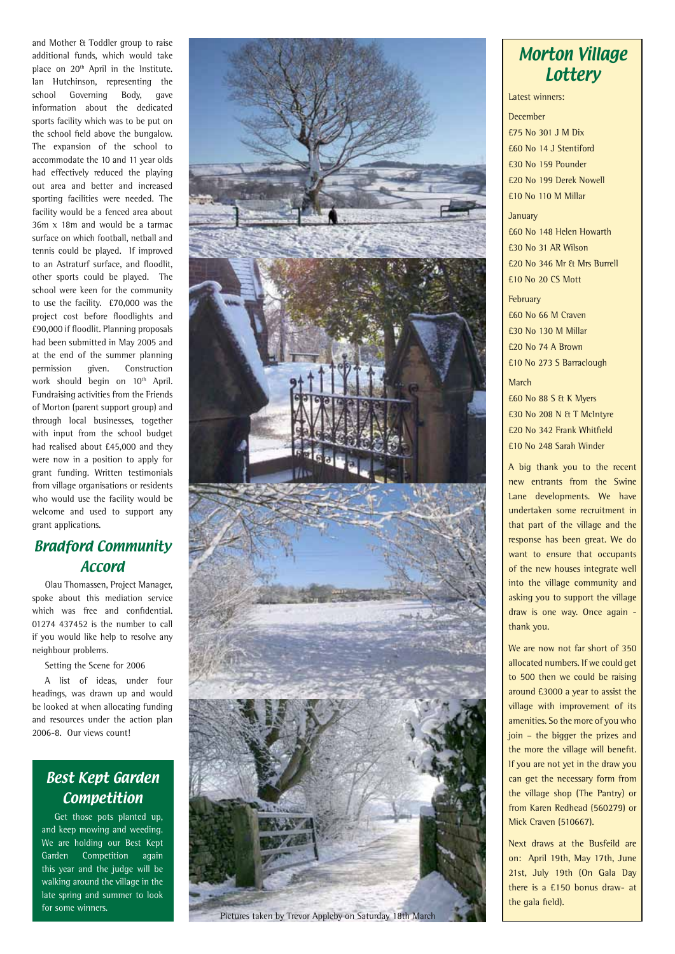and Mother & Toddler group to raise additional funds, which would take place on 20<sup>th</sup> April in the Institute. Ian Hutchinson, representing the school Governing Body, gave information about the dedicated sports facility which was to be put on the school field above the bungalow. The expansion of the school to accommodate the 10 and 11 year olds had effectively reduced the playing out area and better and increased sporting facilities were needed. The facility would be a fenced area about 36m x 18m and would be a tarmac surface on which football, netball and tennis could be played. If improved to an Astraturf surface, and floodlit, other sports could be played. The school were keen for the community to use the facility. £70,000 was the project cost before floodlights and £90,000 if floodlit. Planning proposals had been submitted in May 2005 and at the end of the summer planning permission given. Construction work should begin on 10<sup>th</sup> April. Fundraising activities from the Friends of Morton (parent support group) and through local businesses, together with input from the school budget had realised about £45,000 and they were now in a position to apply for grant funding. Written testimonials from village organisations or residents who would use the facility would be welcome and used to support any grant applications.

## Bradford Community Accord

Olau Thomassen, Project Manager, spoke about this mediation service which was free and confidential. 01274 437452 is the number to call if you would like help to resolve any neighbour problems.

Setting the Scene for 2006

A list of ideas, under four headings, was drawn up and would be looked at when allocating funding and resources under the action plan 2006-8. Our views count!

## Best Kept Garden Competition

Get those pots planted up, and keep mowing and weeding. We are holding our Best Kept Garden Competition again this year and the judge will be walking around the village in the late spring and summer to look for some winners.



Pictures taken by Trevor Appleby on Saturday 18th March

## Morton Village **Lottery**

Latest winners:

December £75 No 301 J M Dix £60 No 14 J Stentiford £30 No 159 Pounder £20 No 199 Derek Nowell £10 No 110 M Millar

January £60 No 148 Helen Howarth £30 No 31 AR Wilson £20 No 346 Mr & Mrs Burrell £10 No 20 CS Mott

February £60 No 66 M Craven £30 No 130 M Millar £20 No 74 A Brown £10 No 273 S Barraclough

March £60 No 88 S & K Myers £30 No 208 N & T McIntyre £20 No 342 Frank Whitfield £10 No 248 Sarah Winder

A big thank you to the recent new entrants from the Swine Lane developments. We have undertaken some recruitment in that part of the village and the response has been great. We do want to ensure that occupants of the new houses integrate well into the village community and asking you to support the village draw is one way. Once again thank you.

We are now not far short of 350 allocated numbers. If we could get to 500 then we could be raising around £3000 a year to assist the village with improvement of its amenities. So the more of you who join – the bigger the prizes and the more the village will benefit. If you are not yet in the draw you can get the necessary form from the village shop (The Pantry) or from Karen Redhead (560279) or Mick Craven (510667).

Next draws at the Busfeild are on: April 19th, May 17th, June 21st, July 19th (On Gala Day there is a £150 bonus draw- at the gala field).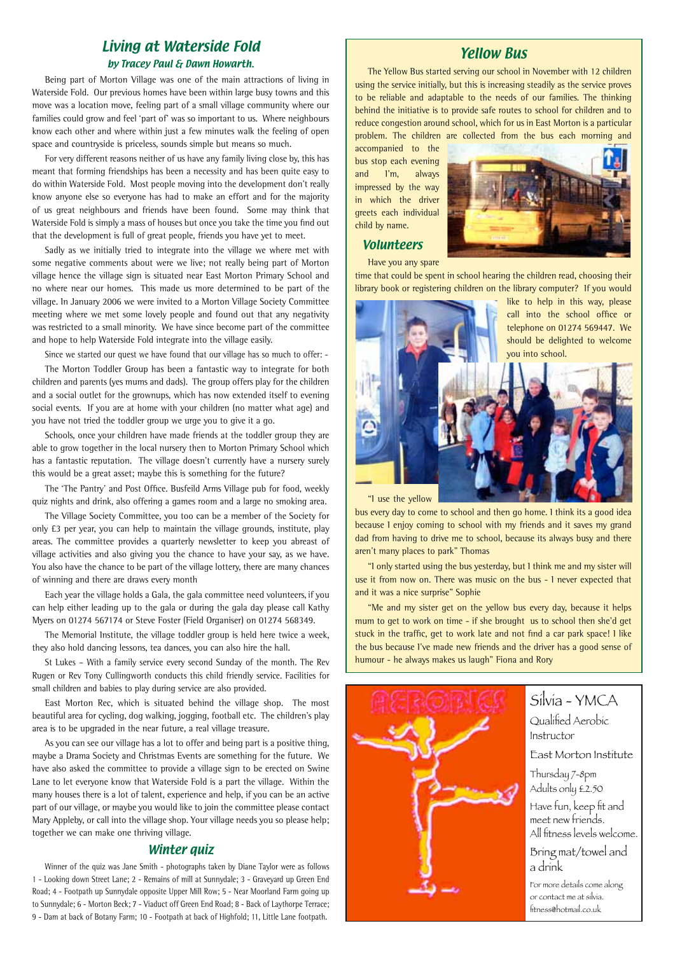#### Living at Waterside Fold by Tracey Paul & Dawn Howarth.

Being part of Morton Village was one of the main attractions of living in Waterside Fold. Our previous homes have been within large busy towns and this move was a location move, feeling part of a small village community where our families could grow and feel 'part of' was so important to us. Where neighbours know each other and where within just a few minutes walk the feeling of open space and countryside is priceless, sounds simple but means so much.

For very different reasons neither of us have any family living close by, this has meant that forming friendships has been a necessity and has been quite easy to do within Waterside Fold. Most people moving into the development don't really know anyone else so everyone has had to make an effort and for the majority of us great neighbours and friends have been found. Some may think that Waterside Fold is simply a mass of houses but once you take the time you find out that the development is full of great people, friends you have yet to meet.

Sadly as we initially tried to integrate into the village we where met with some negative comments about were we live; not really being part of Morton village hence the village sign is situated near East Morton Primary School and no where near our homes. This made us more determined to be part of the village. In January 2006 we were invited to a Morton Village Society Committee meeting where we met some lovely people and found out that any negativity was restricted to a small minority. We have since become part of the committee and hope to help Waterside Fold integrate into the village easily.

Since we started our quest we have found that our village has so much to offer: -

The Morton Toddler Group has been a fantastic way to integrate for both children and parents (yes mums and dads). The group offers play for the children and a social outlet for the grownups, which has now extended itself to evening social events. If you are at home with your children (no matter what age) and you have not tried the toddler group we urge you to give it a go.

Schools, once your children have made friends at the toddler group they are able to grow together in the local nursery then to Morton Primary School which has a fantastic reputation. The village doesn't currently have a nursery surely this would be a great asset; maybe this is something for the future?

The 'The Pantry' and Post Office. Busfeild Arms Village pub for food, weekly quiz nights and drink, also offering a games room and a large no smoking area.

The Village Society Committee, you too can be a member of the Society for only £3 per year, you can help to maintain the village grounds, institute, play areas. The committee provides a quarterly newsletter to keep you abreast of village activities and also giving you the chance to have your say, as we have. You also have the chance to be part of the village lottery, there are many chances of winning and there are draws every month

Each year the village holds a Gala, the gala committee need volunteers, if you can help either leading up to the gala or during the gala day please call Kathy Myers on 01274 567174 or Steve Foster (Field Organiser) on 01274 568349.

The Memorial Institute, the village toddler group is held here twice a week, they also hold dancing lessons, tea dances, you can also hire the hall.

St Lukes – With a family service every second Sunday of the month. The Rev Rugen or Rev Tony Cullingworth conducts this child friendly service. Facilities for small children and babies to play during service are also provided.

East Morton Rec, which is situated behind the village shop. The most beautiful area for cycling, dog walking, jogging, football etc. The children's play area is to be upgraded in the near future, a real village treasure.

As you can see our village has a lot to offer and being part is a positive thing, maybe a Drama Society and Christmas Events are something for the future. We have also asked the committee to provide a village sign to be erected on Swine Lane to let everyone know that Waterside Fold is a part the village. Within the many houses there is a lot of talent, experience and help, if you can be an active part of our village, or maybe you would like to join the committee please contact Mary Appleby, or call into the village shop. Your village needs you so please help; together we can make one thriving village.

#### Winter *auiz*

Winner of the quiz was Jane Smith - photographs taken by Diane Taylor were as follows 1 - Looking down Street Lane; 2 - Remains of mill at Sunnydale; 3 - Graveyard up Green End Road; 4 - Footpath up Sunnydale opposite Upper Mill Row; 5 - Near Moorland Farm going up to Sunnydale; 6 - Morton Beck; 7 - Viaduct off Green End Road; 8 - Back of Laythorpe Terrace; 9 - Dam at back of Botany Farm; 10 - Footpath at back of Highfold; 11, Little Lane footpath.

#### Yellow Bus

The Yellow Bus started serving our school in November with 12 children using the service initially, but this is increasing steadily as the service proves to be reliable and adaptable to the needs of our families. The thinking behind the initiative is to provide safe routes to school for children and to reduce congestion around school, which for us in East Morton is a particular problem. The children are collected from the bus each morning and

accompanied to the bus stop each evening and I'm, always impressed by the way in which the driver greets each individual child by name.



Volunteers Have you any spare

time that could be spent in school hearing the children read, choosing their library book or registering children on the library computer? If you would



"I use the yellow

bus every day to come to school and then go home. I think its a good idea because I enjoy coming to school with my friends and it saves my grand dad from having to drive me to school, because its always busy and there aren't many places to park" Thomas

"I only started using the bus yesterday, but I think me and my sister will use it from now on. There was music on the bus - I never expected that and it was a nice surprise" Sophie

"Me and my sister get on the yellow bus every day, because it helps mum to get to work on time - if she brought us to school then she'd get stuck in the traffic, get to work late and not find a car park space! I like the bus because I've made new friends and the driver has a good sense of humour - he always makes us laugh" Fiona and Rory